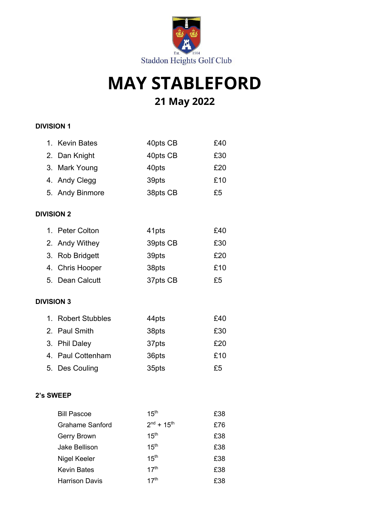

# **MAY STABLEFORD 21 May 2022**

#### **DIVISION 1**

|                   | 1. Kevin Bates         | 40pts CB                    | £40 |
|-------------------|------------------------|-----------------------------|-----|
|                   | 2. Dan Knight          | 40pts CB                    | £30 |
|                   | 3. Mark Young          | 40pts                       | £20 |
|                   | 4. Andy Clegg          | 39pts                       | £10 |
|                   | 5. Andy Binmore        | 38pts CB                    | £5  |
| <b>DIVISION 2</b> |                        |                             |     |
|                   | 1. Peter Colton        | 41pts                       | £40 |
|                   | 2. Andy Withey         | 39pts CB                    | £30 |
|                   | 3. Rob Bridgett        | 39pts                       | £20 |
|                   | 4. Chris Hooper        | 38pts                       | £10 |
|                   | 5. Dean Calcutt        | 37pts CB                    | £5  |
| <b>DIVISION 3</b> |                        |                             |     |
|                   | 1. Robert Stubbles     | 44pts                       | £40 |
|                   | 2. Paul Smith          | 38pts                       | £30 |
|                   | 3. Phil Daley          | 37pts                       | £20 |
|                   | 4. Paul Cottenham      | 36pts                       | £10 |
|                   | 5. Des Couling         | 35pts                       | £5  |
| 2's SWEEP         |                        |                             |     |
|                   | <b>Bill Pascoe</b>     | 15 <sup>th</sup>            | £38 |
|                   | <b>Grahame Sanford</b> | $2^{nd}$ + 15 <sup>th</sup> | £76 |
|                   | Gerry Brown            | 15 <sup>th</sup>            | £38 |
|                   | <b>Jake Bellison</b>   | 15 <sup>th</sup>            | £38 |
|                   | Nigel Keeler           | 15 <sup>th</sup>            | £38 |
|                   | <b>Kevin Bates</b>     | 17 <sup>th</sup>            | £38 |
|                   | <b>Harrison Davis</b>  | 17 <sup>th</sup>            | £38 |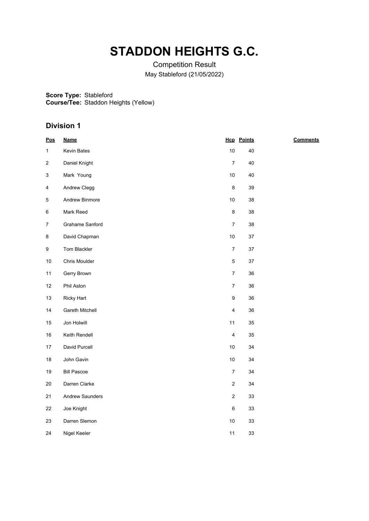### **STADDON HEIGHTS G.C.**

Competition Result May Stableford (21/05/2022)

**Score Type:** Stableford

**Course/Tee:** Staddon Heights (Yellow)

| Pos          | <b>Name</b>        |                         | <b>Hcp</b> Points | <b>Comments</b> |
|--------------|--------------------|-------------------------|-------------------|-----------------|
| $\mathbf{1}$ | Kevin Bates        | 10                      | 40                |                 |
| 2            | Daniel Knight      | $\boldsymbol{7}$        | 40                |                 |
| 3            | Mark Young         | 10                      | 40                |                 |
| 4            | Andrew Clegg       | 8                       | 39                |                 |
| 5            | Andrew Binmore     | $10$                    | 38                |                 |
| 6            | Mark Reed          | 8                       | 38                |                 |
| 7            | Grahame Sanford    | $\overline{7}$          | 38                |                 |
| 8            | David Chapman      | 10                      | $37\,$            |                 |
| 9            | Tom Blackler       | $\boldsymbol{7}$        | $37\,$            |                 |
| 10           | Chris Moulder      | 5                       | 37                |                 |
| 11           | Gerry Brown        | $\overline{7}$          | 36                |                 |
| 12           | Phil Aston         | $\overline{7}$          | 36                |                 |
| 13           | <b>Ricky Hart</b>  | $\boldsymbol{9}$        | 36                |                 |
| 14           | Gareth Mitchell    | $\overline{\mathbf{4}}$ | 36                |                 |
| 15           | Jon Holwill        | 11                      | 35                |                 |
| $16\,$       | Keith Rendell      | $\overline{\mathbf{4}}$ | 35                |                 |
| 17           | David Purcell      | $10$                    | 34                |                 |
| $18\,$       | John Gavin         | $10$                    | 34                |                 |
| 19           | <b>Bill Pascoe</b> | $\boldsymbol{7}$        | 34                |                 |
| $20\,$       | Darren Clarke      | $\overline{2}$          | 34                |                 |
| 21           | Andrew Saunders    | $\sqrt{2}$              | 33                |                 |
| 22           | Joe Knight         | $\,6\,$                 | 33                |                 |
| 23           | Darren Slemon      | 10                      | $33\,$            |                 |
| 24           | Nigel Keeler       | 11                      | 33                |                 |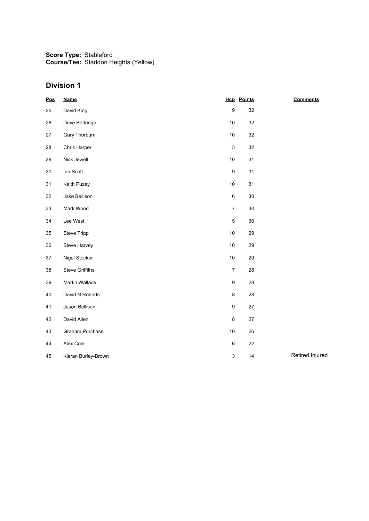| Pos | <b>Name</b>            |                           | <b>Hcp</b> Points | <b>Comments</b> |
|-----|------------------------|---------------------------|-------------------|-----------------|
| 25  | David King             | $\boldsymbol{9}$          | 32                |                 |
| 26  | Dave Bettridge         | $10$                      | 32                |                 |
| 27  | Gary Thorburn          | $10$                      | 32                |                 |
| 28  | Chris Harper           | $\ensuremath{\mathsf{3}}$ | 32                |                 |
| 29  | Nick Jewell            | $10$                      | 31                |                 |
| 30  | lan Scott              | $\boldsymbol{9}$          | 31                |                 |
| 31  | Keith Puzey            | $10$                      | 31                |                 |
| 32  | Jake Bellison          | $\,6\,$                   | $30\,$            |                 |
| 33  | Mark Wood              | $\boldsymbol{7}$          | $30\,$            |                 |
| 34  | Lee West               | $\mathbf 5$               | $30\,$            |                 |
| 35  | Steve Tripp            | $10$                      | 29                |                 |
| 36  | Steve Harvey           | $10$                      | 29                |                 |
| 37  | Nigel Stocker          | 10                        | 29                |                 |
| 38  | <b>Steve Griffiths</b> | $\boldsymbol{7}$          | 28                |                 |
| 39  | Martin Wallace         | $\boldsymbol{9}$          | 28                |                 |
| 40  | David N Roberts        | $\bf 8$                   | 28                |                 |
| 41  | Jason Bellison         | $\boldsymbol{9}$          | $27\,$            |                 |
| 42  | David Allen            | $\bf 8$                   | $27\,$            |                 |
| 43  | Graham Purchase        | 10                        | 26                |                 |
| 44  | Alex Cole              | $\,6\,$                   | 22                |                 |
| 45  | Kieran Burley-Brown    | $\ensuremath{\mathsf{3}}$ | 14                | Retired Injured |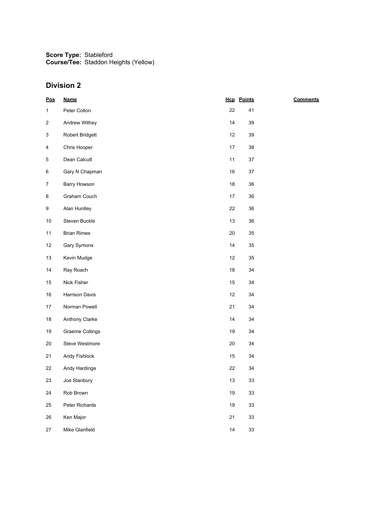| $\underline{\mathsf{Pos}}$ | <b>Name</b>            |        | <b>Hcp</b> Points | <b>Comments</b> |
|----------------------------|------------------------|--------|-------------------|-----------------|
| $\mathbf{1}$               | Peter Colton           | 22     | 41                |                 |
| 2                          | Andrew Withey          | 14     | 39                |                 |
| 3                          | Robert Bridgett        | 12     | 39                |                 |
| 4                          | Chris Hooper           | 17     | 38                |                 |
| 5                          | Dean Calcutt           | 11     | $37\,$            |                 |
| 6                          | Gary N Chapman         | 16     | 37                |                 |
| $\overline{7}$             | Barry Howson           | 18     | 36                |                 |
| 8                          | Graham Couch           | 17     | 36                |                 |
| 9                          | Alan Huntley           | 22     | 36                |                 |
| $10\,$                     | Steven Buckle          | 13     | 36                |                 |
| 11                         | <b>Brian Rimes</b>     | 20     | 35                |                 |
| 12                         | Gary Symons            | 14     | 35                |                 |
| 13                         | Kevin Mudge            | 12     | 35                |                 |
| 14                         | Ray Roach              | 18     | 34                |                 |
| 15                         | Nick Fisher            | 15     | 34                |                 |
| $16\,$                     | Harrison Davis         | 12     | 34                |                 |
| $17\,$                     | Norman Powell          | 21     | 34                |                 |
| $18\,$                     | Anthony Clarke         | 14     | 34                |                 |
| 19                         | <b>Graeme Collings</b> | 19     | 34                |                 |
| $20\,$                     | Steve Westmore         | $20\,$ | 34                |                 |
| 21                         | Andy Fishlock          | 15     | 34                |                 |
| 22                         | Andy Hardinge          | 22     | 34                |                 |
| 23                         | Joe Stanbury           | $13$   | 33                |                 |
| 24                         | Rob Brown              | $19$   | 33                |                 |
| 25                         | Peter Richards         | 19     | 33                |                 |
| 26                         | Ken Major              | 21     | 33                |                 |
| 27                         | Mike Glanfield         | 14     | 33                |                 |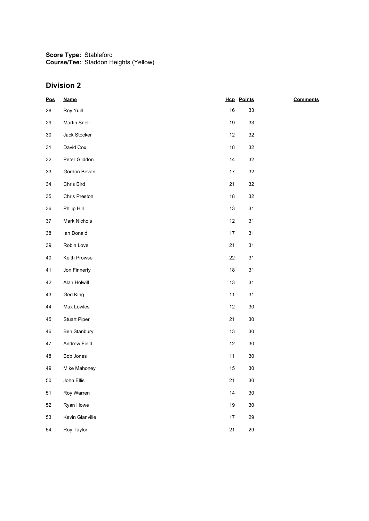| $\underline{\mathsf{Pos}}$ | <b>Name</b>         |        | <b>Hcp</b> Points | <b>Comments</b> |
|----------------------------|---------------------|--------|-------------------|-----------------|
| 28                         | Roy Yuill           | 16     | 33                |                 |
| 29                         | <b>Martin Snell</b> | 19     | 33                |                 |
| $30\,$                     | Jack Stocker        | 12     | 32                |                 |
| 31                         | David Cox           | $18$   | $32\,$            |                 |
| 32                         | Peter Gliddon       | 14     | 32                |                 |
| 33                         | Gordon Bevan        | 17     | 32                |                 |
| 34                         | Chris Bird          | 21     | 32                |                 |
| $35\,$                     | Chris Preston       | $18$   | $32\,$            |                 |
| 36                         | Philip Hill         | 13     | 31                |                 |
| 37                         | Mark Nichols        | 12     | 31                |                 |
| $38\,$                     | lan Donald          | $17\,$ | 31                |                 |
| $39\,$                     | Robin Love          | 21     | 31                |                 |
| 40                         | Keith Prowse        | 22     | 31                |                 |
| 41                         | Jon Finnerty        | $18$   | 31                |                 |
| 42                         | Alan Holwill        | $13$   | 31                |                 |
| 43                         | Ged King            | 11     | 31                |                 |
| 44                         | Max Lowles          | 12     | $30\,$            |                 |
| 45                         | <b>Stuart Piper</b> | 21     | $30\,$            |                 |
| 46                         | Ben Stanbury        | 13     | $30\,$            |                 |
| 47                         | Andrew Field        | 12     | $30\,$            |                 |
| 48                         | Bob Jones           | 11     | $30\,$            |                 |
| 49                         | Mike Mahoney        | 15     | $30\,$            |                 |
| 50                         | John Ellis          | 21     | $30\,$            |                 |
| 51                         | Roy Warren          | 14     | $30\,$            |                 |
| 52                         | Ryan Howe           | 19     | $30\,$            |                 |
| 53                         | Kevin Glanville     | 17     | 29                |                 |
| 54                         | Roy Taylor          | 21     | 29                |                 |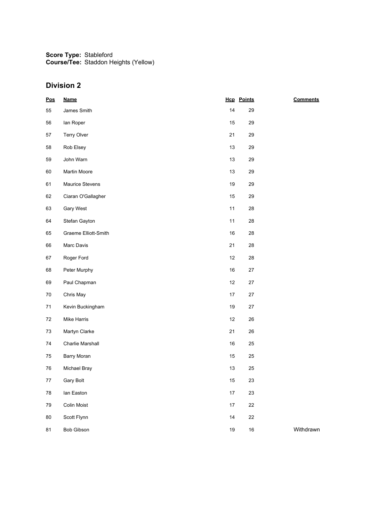| $\underline{\text{Pos}}$ | <b>Name</b>          |        | <b>Hcp</b> Points | <b>Comments</b> |
|--------------------------|----------------------|--------|-------------------|-----------------|
| 55                       | James Smith          | 14     | 29                |                 |
| 56                       | lan Roper            | 15     | 29                |                 |
| 57                       | Terry Olver          | 21     | 29                |                 |
| 58                       | Rob Elsey            | 13     | 29                |                 |
| 59                       | John Warn            | 13     | 29                |                 |
| 60                       | Martin Moore         | 13     | 29                |                 |
| 61                       | Maurice Stevens      | 19     | 29                |                 |
| 62                       | Ciaran O'Gallagher   | 15     | 29                |                 |
| 63                       | Gary West            | 11     | 28                |                 |
| 64                       | Stefan Gayton        | 11     | 28                |                 |
| 65                       | Graeme Elliott-Smith | 16     | 28                |                 |
| 66                       | Marc Davis           | 21     | 28                |                 |
| 67                       | Roger Ford           | 12     | 28                |                 |
| 68                       | Peter Murphy         | 16     | $27\,$            |                 |
| 69                       | Paul Chapman         | 12     | 27                |                 |
| $70\,$                   | Chris May            | 17     | $27\,$            |                 |
| 71                       | Kevin Buckingham     | $19$   | $27\,$            |                 |
| 72                       | Mike Harris          | 12     | 26                |                 |
| $73\,$                   | Martyn Clarke        | 21     | 26                |                 |
| 74                       | Charlie Marshall     | 16     | 25                |                 |
| 75                       | Barry Moran          | 15     | 25                |                 |
| 76                       | Michael Bray         | 13     | 25                |                 |
| $77\,$                   | Gary Bolt            | $15\,$ | 23                |                 |
| 78                       | lan Easton           | 17     | 23                |                 |
| 79                       | Colin Moist          | 17     | 22                |                 |
| 80                       | Scott Flynn          | 14     | 22                |                 |
| 81                       | Bob Gibson           | $19$   | $16\,$            | Withdrawn       |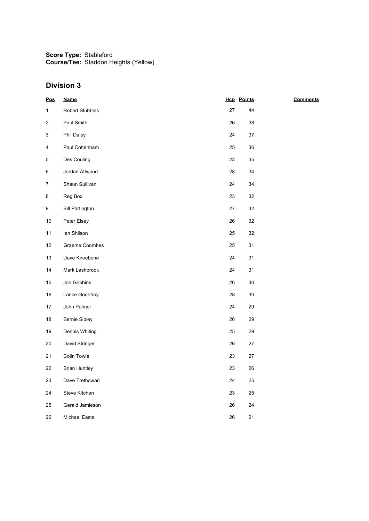| Pos                     | <b>Name</b>            |        | <b>Hcp</b> Points | <b>Comments</b> |
|-------------------------|------------------------|--------|-------------------|-----------------|
| $\mathbf{1}$            | Robert Stubbles        | $27\,$ | 44                |                 |
| $\overline{\mathbf{c}}$ | Paul Smith             | 26     | 38                |                 |
| 3                       | Phil Daley             | 24     | $37\,$            |                 |
| 4                       | Paul Cottenham         | 25     | 36                |                 |
| 5                       | Des Couling            | 23     | 35                |                 |
| 6                       | Jordan Attwood         | 28     | 34                |                 |
| $\overline{7}$          | Shaun Sullivan         | 24     | 34                |                 |
| 8                       | Reg Box                | 23     | 32                |                 |
| 9                       | <b>Bill Partington</b> | 27     | 32                |                 |
| $10\,$                  | Peter Elsey            | 26     | 32                |                 |
| 11                      | lan Shilson            | 25     | 32                |                 |
| 12                      | Graeme Coombes         | 25     | 31                |                 |
| 13                      | Dave Kneebone          | 24     | 31                |                 |
| 14                      | Mark Lashbrook         | 24     | 31                |                 |
| 15                      | Jon Gribbins           | 26     | $30\,$            |                 |
| $16\,$                  | Lance Godefroy         | 28     | $30\,$            |                 |
| 17                      | John Palmer            | 24     | 29                |                 |
| $18\,$                  | Bernie Sibley          | 26     | 29                |                 |
| 19                      | Dennis Whiting         | 25     | 29                |                 |
| 20                      | David Stringer         | 26     | $27\,$            |                 |
| 21                      | Colin Towle            | 23     | $27\,$            |                 |
| 22                      | <b>Brian Huntley</b>   | 23     | $26\,$            |                 |
| 23                      | Dave Trethowan         | 24     | 25                |                 |
| 24                      | Steve Kitchen          | 23     | 25                |                 |
| 25                      | Gerald Jamieson        | 26     | 24                |                 |
| 26                      | Michael Eastel         | 26     | 21                |                 |